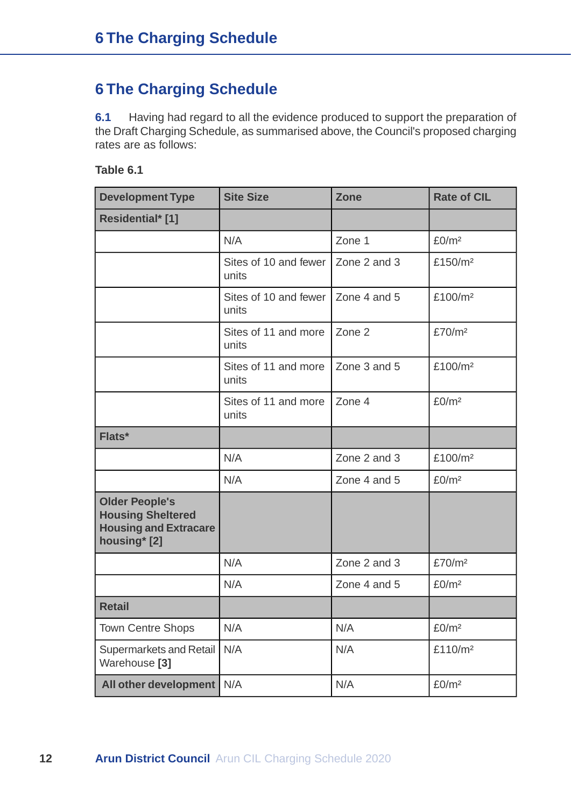# **6 The Charging Schedule**

**6.1** Having had regard to all the evidence produced to support the preparation of the Draft Charging Schedule, as summarised above, the Council's proposed charging rates are as follows:

| <b>Development Type</b>                                                                           | <b>Site Size</b>               | <b>Zone</b>  | <b>Rate of CIL</b>  |
|---------------------------------------------------------------------------------------------------|--------------------------------|--------------|---------------------|
| Residential* [1]                                                                                  |                                |              |                     |
|                                                                                                   | N/A                            | Zone 1       | £0/m <sup>2</sup>   |
|                                                                                                   | Sites of 10 and fewer<br>units | Zone 2 and 3 | £150/m <sup>2</sup> |
|                                                                                                   | Sites of 10 and fewer<br>units | Zone 4 and 5 | £100/m <sup>2</sup> |
|                                                                                                   | Sites of 11 and more<br>units  | Zone 2       | £70/m <sup>2</sup>  |
|                                                                                                   | Sites of 11 and more<br>units  | Zone 3 and 5 | £100/m <sup>2</sup> |
|                                                                                                   | Sites of 11 and more<br>units  | Zone 4       | £0/m <sup>2</sup>   |
| Flats*                                                                                            |                                |              |                     |
|                                                                                                   | N/A                            | Zone 2 and 3 | £100/m <sup>2</sup> |
|                                                                                                   | N/A                            | Zone 4 and 5 | £0/m <sup>2</sup>   |
| <b>Older People's</b><br><b>Housing Sheltered</b><br><b>Housing and Extracare</b><br>housing* [2] |                                |              |                     |
|                                                                                                   | N/A                            | Zone 2 and 3 | £70/m <sup>2</sup>  |
|                                                                                                   | N/A                            | Zone 4 and 5 | £0/m <sup>2</sup>   |
| <b>Retail</b>                                                                                     |                                |              |                     |
| <b>Town Centre Shops</b>                                                                          | N/A                            | N/A          | £0/m <sup>2</sup>   |
| Supermarkets and Retail<br>Warehouse <sup>[3]</sup>                                               | N/A                            | N/A          | £110/m <sup>2</sup> |
| All other development                                                                             | N/A                            | N/A          | £0/m <sup>2</sup>   |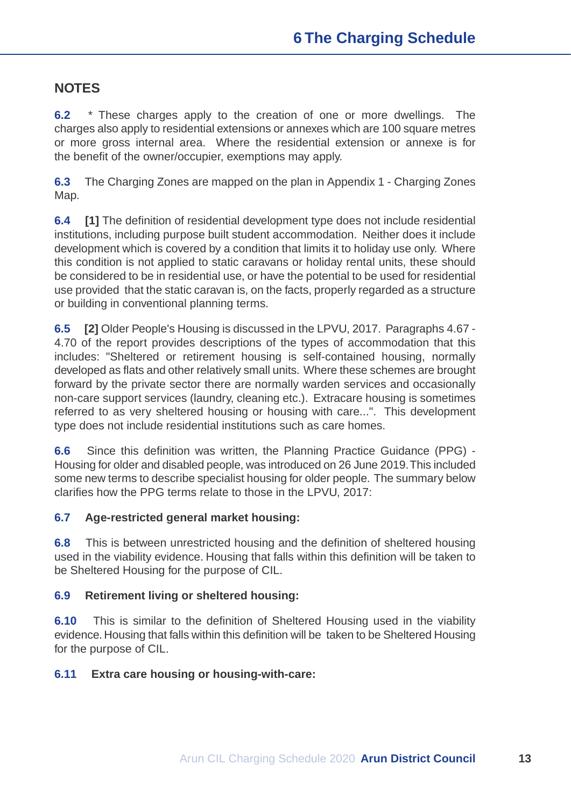## **NOTES**

**6.2** \* These charges apply to the creation of one or more dwellings. The charges also apply to residential extensions or annexes which are 100 square metres or more gross internal area. Where the residential extension or annexe is for the benefit of the owner/occupier, exemptions may apply.

**6.3** The Charging Zones are mapped on the plan in Appendix 1 - Charging Zones Map.

**6.4 [1]** The definition of residential development type does not include residential institutions, including purpose built student accommodation. Neither does it include development which is covered by a condition that limits it to holiday use only. Where this condition is not applied to static caravans or holiday rental units, these should be considered to be in residential use, or have the potential to be used for residential use provided that the static caravan is, on the facts, properly regarded as a structure or building in conventional planning terms.

**6.5 [2]** Older People's Housing is discussed in the LPVU, 2017. Paragraphs 4.67 - 4.70 of the report provides descriptions of the types of accommodation that this includes: "Sheltered or retirement housing is self-contained housing, normally developed as flats and other relatively small units. Where these schemes are brought forward by the private sector there are normally warden services and occasionally non-care support services (laundry, cleaning etc.). Extracare housing is sometimes referred to as very sheltered housing or housing with care...". This development type does not include residential institutions such as care homes.

**6.6** Since this definition was written, the Planning Practice Guidance (PPG) - Housing for older and disabled people, was introduced on 26 June 2019.This included some new terms to describe specialist housing for older people. The summary below clarifies how the PPG terms relate to those in the LPVU, 2017:

### **6.7 Age-restricted general market housing:**

**6.8** This is between unrestricted housing and the definition of sheltered housing used in the viability evidence. Housing that falls within this definition will be taken to be Sheltered Housing for the purpose of CIL.

### **6.9 Retirement living or sheltered housing:**

**6.10** This is similar to the definition of Sheltered Housing used in the viability evidence. Housing that falls within this definition will be taken to be Sheltered Housing for the purpose of CIL.

#### **6.11 Extra care housing or housing-with-care:**